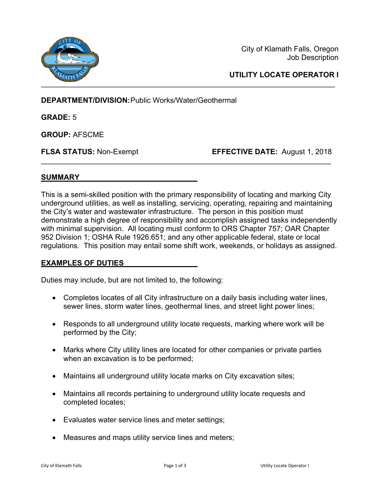

City of Klamath Falls, Oregon Job Description

# **UTILITY LOCATE OPERATOR I**

**DEPARTMENT/DIVISION:** Public Works/Water/Geothermal

**GRADE:** 5

**GROUP:** AFSCME

**FLSA STATUS:** Non-Exempt **EFFECTIVE DATE:** August 1, 2018

#### **SUMMARY**

This is a semi-skilled position with the primary responsibility of locating and marking City underground utilities, as well as installing, servicing, operating, repairing and maintaining the City's water and wastewater infrastructure. The person in this position must demonstrate a high degree of responsibility and accomplish assigned tasks independently with minimal supervision. All locating must conform to ORS Chapter 757; OAR Chapter 952 Division 1; OSHA Rule 1926.651; and any other applicable federal, state or local regulations. This position may entail some shift work, weekends, or holidays as assigned.

\_\_\_\_\_\_\_\_\_\_\_\_\_\_\_\_\_\_\_\_\_\_\_\_\_\_\_\_\_\_\_\_\_\_\_\_\_\_\_\_\_\_\_\_\_\_\_\_\_\_\_\_\_\_\_\_\_\_\_\_\_\_\_\_\_\_\_\_\_\_

### **EXAMPLES OF DUTIES**

Duties may include, but are not limited to, the following:

- Completes locates of all City infrastructure on a daily basis including water lines, sewer lines, storm water lines, geothermal lines, and street light power lines;
- Responds to all underground utility locate requests, marking where work will be performed by the City;
- Marks where City utility lines are located for other companies or private parties when an excavation is to be performed;
- Maintains all underground utility locate marks on City excavation sites;
- Maintains all records pertaining to underground utility locate requests and completed locates;
- Evaluates water service lines and meter settings;
- Measures and maps utility service lines and meters;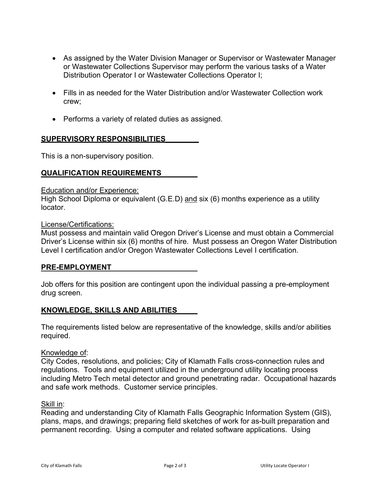- As assigned by the Water Division Manager or Supervisor or Wastewater Manager or Wastewater Collections Supervisor may perform the various tasks of a Water Distribution Operator I or Wastewater Collections Operator I;
- Fills in as needed for the Water Distribution and/or Wastewater Collection work crew;
- Performs a variety of related duties as assigned.

## **SUPERVISORY RESPONSIBILITIES\_\_\_\_\_\_\_\_**

This is a non-supervisory position.

## **QUALIFICATION REQUIREMENTS**

#### Education and/or Experience:

High School Diploma or equivalent (G.E.D) and six (6) months experience as a utility locator.

#### License/Certifications:

Must possess and maintain valid Oregon Driver's License and must obtain a Commercial Driver's License within six (6) months of hire. Must possess an Oregon Water Distribution Level I certification and/or Oregon Wastewater Collections Level I certification.

### **PRE-EMPLOYMENT**

Job offers for this position are contingent upon the individual passing a pre-employment drug screen.

### **KNOWLEDGE, SKILLS AND ABILITIES**

The requirements listed below are representative of the knowledge, skills and/or abilities required.

### Knowledge of:

City Codes, resolutions, and policies; City of Klamath Falls cross-connection rules and regulations. Tools and equipment utilized in the underground utility locating process including Metro Tech metal detector and ground penetrating radar. Occupational hazards and safe work methods. Customer service principles.

#### <u>Skill in:</u>

Reading and understanding City of Klamath Falls Geographic Information System (GIS), plans, maps, and drawings; preparing field sketches of work for as-built preparation and permanent recording. Using a computer and related software applications. Using